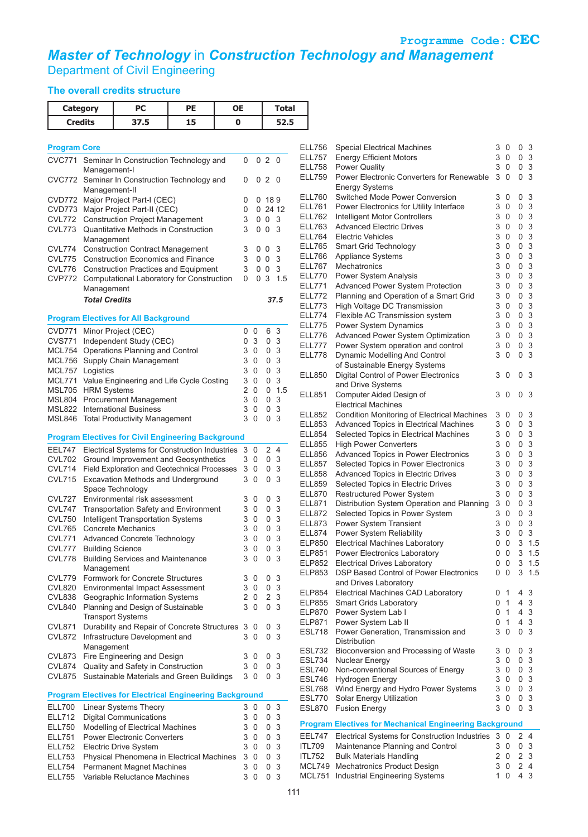**Programme Code: CEC** *Master of Technology* in *Construction Technology and Management*

Department of Civil Engineering

## **The overall credits structure**

| <b>Category</b><br><b>Credits</b> |                                                               | PС<br><b>PE</b><br><b>OE</b>                                                                                          |                                          |               |                |                  |                     |          |           |
|-----------------------------------|---------------------------------------------------------------|-----------------------------------------------------------------------------------------------------------------------|------------------------------------------|---------------|----------------|------------------|---------------------|----------|-----------|
|                                   |                                                               | 37.5                                                                                                                  | 15                                       | 0             |                |                  |                     | 52.5     |           |
|                                   |                                                               |                                                                                                                       |                                          |               |                |                  |                     |          |           |
| <b>Program Core</b>               |                                                               |                                                                                                                       |                                          |               |                |                  |                     |          | EL<br>EL  |
| <b>CVC771</b>                     | Management-I                                                  | Seminar In Construction Technology and                                                                                |                                          |               | 0              |                  | 0 <sub>2</sub>      | 0        | EL        |
| CVC772                            | Seminar In Construction Technology and<br>0 <sub>2</sub><br>0 |                                                                                                                       |                                          |               |                |                  |                     | 0        | ΕL        |
|                                   | Management-II                                                 |                                                                                                                       |                                          |               | EL             |                  |                     |          |           |
| CVD772                            |                                                               | Major Project Part-I (CEC)<br>CVD773 Major Project Part-II (CEC)                                                      |                                          |               | 0<br>0         |                  | 0.189               | 02412    | ΕL        |
| CVL772                            |                                                               | <b>Construction Project Management</b>                                                                                |                                          |               | 3              |                  | 0 <sub>0</sub>      | 3        | ΕL        |
| CVL773                            |                                                               | Quantitative Methods in Construction                                                                                  |                                          |               | 3              |                  | 0 <sup>0</sup>      | 3        | EL<br>EL  |
| CVL774                            | Management                                                    | <b>Construction Contract Management</b>                                                                               |                                          |               | 3              |                  | 0 <sub>0</sub>      | 3        | ΕL        |
| CVL775                            |                                                               | <b>Construction Economics and Finance</b>                                                                             |                                          |               | 3              |                  | 0 <sub>0</sub>      | 3        | EL        |
| CVL776                            |                                                               | <b>Construction Practices and Equipment</b>                                                                           |                                          |               | 3<br>0         |                  | 0 <sub>0</sub><br>3 | 3<br>1.5 | ΕL<br>ΕL  |
| <b>CVP772</b>                     | Management                                                    | Computational Laboratory for Construction                                                                             |                                          |               |                | 0                |                     |          | EL        |
|                                   | <b>Total Credits</b>                                          |                                                                                                                       |                                          |               |                |                  | 37.5                | EL       |           |
|                                   |                                                               |                                                                                                                       |                                          |               |                |                  |                     |          | ΕL<br>EL  |
| <b>CVD771</b>                     |                                                               | <b>Program Electives for All Background</b><br>Minor Project (CEC)                                                    |                                          |               | 0              | 0                | 6                   | 3        | EL        |
| <b>CVS771</b>                     |                                                               | Independent Study (CEC)                                                                                               |                                          |               | 0              | 3                | 0                   | 3        | ΕL        |
| MCL754                            |                                                               | Operations Planning and Control                                                                                       |                                          |               | 3              | 0                | 0                   | 3        | EL<br>EL  |
| MCL756                            | Logistics                                                     | Supply Chain Management                                                                                               |                                          |               | 3<br>3         | 0<br>$\Omega$    | 0                   | 3<br>3   |           |
| MCL757<br>MCL771                  |                                                               | Value Engineering and Life Cycle Costing                                                                              |                                          |               | 3              | 0                | 0<br>0              | 3        | EL        |
| <b>MSL705</b>                     | <b>HRM Systems</b>                                            |                                                                                                                       |                                          |               | $\overline{2}$ | 0                | 0                   | 1.5      | ΕL        |
| MSL804<br><b>MSL822</b>           |                                                               | <b>Procurement Management</b><br><b>International Business</b>                                                        |                                          |               | 3<br>3         | $\Omega$<br>0    | 0<br>0              | 3<br>3   |           |
| <b>MSL846</b>                     | $\Omega$                                                      | 0                                                                                                                     | 3                                        | ΕL            |                |                  |                     |          |           |
|                                   |                                                               | <b>Total Productivity Management</b><br><b>Program Electives for Civil Engineering Background</b>                     |                                          |               |                |                  |                     |          | ΕL<br>EL  |
| <b>EEL747</b>                     |                                                               | Electrical Systems for Construction Industries                                                                        |                                          |               | 3              | 0                | $\overline{2}$      | 4        | EL        |
| <b>CVL702</b>                     |                                                               | Ground Improvement and Geosynthetics                                                                                  |                                          |               |                | 3 0              | 0                   | 3        | ΕL<br>EL  |
| <b>CVL714</b>                     |                                                               | Field Exploration and Geotechnical Processes                                                                          | 3                                        | 0<br>$\Omega$ | 0<br>0         | 3<br>3           | EL                  |          |           |
| <b>CVL715</b>                     |                                                               | 3<br>Excavation Methods and Underground<br>Space Technology                                                           |                                          |               |                |                  |                     |          | ΕL        |
| CVL727                            |                                                               | Environmental risk assessment                                                                                         |                                          |               | 3              | 0                | 0                   | 3        | EL<br>EL  |
| <b>CVL747</b>                     |                                                               | <b>Transportation Safety and Environment</b>                                                                          |                                          |               | 3<br>3         | 0<br>$\mathbf 0$ | 0                   | 3<br>3   | EL        |
| <b>CVL750</b><br><b>CVL765</b>    |                                                               | Intelligent Transportation Systems<br><b>Concrete Mechanics</b>                                                       |                                          |               | 3              | 0                | 0<br>0              | 3        | EL<br>ΕL  |
| <b>CVL771</b>                     |                                                               |                                                                                                                       | 3<br><b>Advanced Concrete Technology</b> |               |                |                  |                     |          |           |
| <b>CVL777</b>                     | <b>Building Science</b>                                       |                                                                                                                       |                                          |               |                | 3 0              | 0                   | -3       | EL<br>EL  |
| CVL778                            | Management                                                    | <b>Building Services and Maintenance</b>                                                                              |                                          |               | 3              | 0                | 0                   | 3        | ΕL        |
| CVL779                            |                                                               | Formwork for Concrete Structures                                                                                      |                                          |               | 3              | 0                | 0                   | 3        | ΕL        |
| <b>CVL820</b>                     |                                                               | <b>Environmental Impact Assessment</b>                                                                                |                                          |               | 3              | 0                | 0                   | 3        | ΕL        |
| CVL838<br><b>CVL840</b>           |                                                               | Geographic Information Systems<br>Planning and Design of Sustainable                                                  |                                          |               | 3              | 20<br>$\Omega$   | 2 3<br>0            | 3        | ΕL        |
|                                   |                                                               | <b>Transport Systems</b>                                                                                              |                                          |               |                |                  |                     |          | EL        |
| <b>CVL871</b>                     |                                                               | Durability and Repair of Concrete Structures 3                                                                        |                                          |               |                | 0                | 0                   | 3        | EL<br>ES  |
| <b>CVL872</b>                     | Management                                                    | Infrastructure Development and                                                                                        |                                          |               | 3              | 0                | 0                   | 3        |           |
| <b>CVL873</b>                     |                                                               | Fire Engineering and Design                                                                                           |                                          |               | 3              | 0                | 0                   | 3        | ES<br>ES  |
| CVL874                            |                                                               | Quality and Safety in Construction                                                                                    |                                          |               |                | 3 <sub>0</sub>   | 0 <sup>3</sup>      |          | ES        |
| <b>CVL875</b>                     |                                                               | Sustainable Materials and Green Buildings                                                                             |                                          |               |                | 30               | $\overline{0}$      | 3        | ES<br>ES  |
|                                   |                                                               | <b>Program Electives for Electrical Engineering Background</b>                                                        |                                          |               |                |                  |                     |          | ES        |
| <b>ELL700</b>                     |                                                               | Linear Systems Theory                                                                                                 |                                          |               | 3              | 0                | 0                   | 3        | ES        |
| <b>ELL712</b><br><b>ELL750</b>    |                                                               | <b>Digital Communications</b><br>Modelling of Electrical Machines                                                     |                                          |               | 3<br>3         | 0<br>0           | 0<br>0              | 3<br>3   | Pro       |
| <b>ELL751</b>                     |                                                               | <b>Power Electronic Converters</b>                                                                                    |                                          |               | 3              | 0                | 0                   | 3        | EЕ        |
| <b>ELL752</b>                     |                                                               | 3<br>3<br><b>Electric Drive System</b><br>0<br>0                                                                      |                                          |               |                |                  |                     |          | ITL       |
| <b>ELL753</b><br><b>ELL754</b>    |                                                               | 3<br>3<br>Physical Phenomena in Electrical Machines<br>0<br>0<br><b>Permanent Magnet Machines</b><br>3<br>3<br>0<br>0 |                                          |               |                |                  |                     |          | ITL<br>MC |
| <b>ELL755</b>                     |                                                               | Variable Reluctance Machines                                                                                          |                                          |               | 3              | 0                | 0                   | 3        | M         |
|                                   |                                                               |                                                                                                                       |                                          |               |                |                  |                     | 111      |           |

| <b>ELL756</b>    | <b>Special Electrical Machines</b>                             | 3 | 0              | 0              | -3             |
|------------------|----------------------------------------------------------------|---|----------------|----------------|----------------|
| <b>ELL757</b>    | <b>Energy Efficient Motors</b>                                 | 3 | 0              | 0              | 3              |
| <b>ELL758</b>    | <b>Power Quality</b>                                           | 3 | 0              |                | 0 <sup>3</sup> |
| <b>ELL759</b>    | Power Electronic Converters for Renewable                      | 3 | 0              | 0              | 3              |
| <b>ELL760</b>    | <b>Energy Systems</b><br>Switched Mode Power Conversion        | 3 | 0              | 0              | 3              |
| <b>ELL761</b>    | Power Electronics for Utility Interface                        | 3 | 0              | 0              | 3              |
| <b>ELL762</b>    | Intelligent Motor Controllers                                  | 3 | 0              | 0              | 3              |
| <b>ELL763</b>    | <b>Advanced Electric Drives</b>                                | 3 | 0              | 0              | $\mathbf{3}$   |
| <b>ELL764</b>    | <b>Electric Vehicles</b>                                       | 3 | 0              | 0              | 3              |
| <b>ELL765</b>    | Smart Grid Technology                                          | 3 | 0              | 0              | 3              |
| <b>ELL766</b>    | Appliance Systems                                              | 3 | 0              | 0              | 3              |
| <b>ELL767</b>    | Mechatronics                                                   | 3 | 0              | 0              | 3              |
| <b>ELL770</b>    | Power System Analysis                                          | 3 | 0              | 0              | 3              |
| <b>ELL771</b>    | Advanced Power System Protection                               | 3 | 0              | 0              | 3              |
| <b>ELL772</b>    | Planning and Operation of a Smart Grid                         | 3 | 0              | 0              | 3              |
| <b>ELL773</b>    | High Voltage DC Transmission                                   | 3 | 0              | 0              | 3              |
| <b>ELL774</b>    | Flexible AC Transmission system                                | 3 | 0              | 0              | 3              |
| <b>ELL775</b>    | Power System Dynamics                                          | 3 | 0              | 0              | 3              |
| <b>ELL776</b>    | Advanced Power System Optimization                             | 3 | 0              | 0              | 3              |
| <b>ELL777</b>    | Power System operation and control                             | 3 | 0              | 0              | 3              |
| <b>ELL778</b>    | Dynamic Modelling And Control                                  | 3 | 0              | 0              | 3              |
|                  | of Sustainable Energy Systems                                  |   |                |                |                |
| <b>ELL850</b>    | Digital Control of Power Electronics                           | 3 | 0              | 0              | 3              |
|                  | and Drive Systems                                              |   |                |                |                |
| ELL851           | Computer Aided Design of                                       | 3 | 0              | 0              | 3              |
|                  | <b>Electrical Machines</b>                                     |   |                |                |                |
| <b>ELL852</b>    | Condition Monitoring of Electrical Machines                    | 3 | 0              | 0              | 3              |
| <b>ELL853</b>    | <b>Advanced Topics in Electrical Machines</b>                  | 3 | 0              | 0              | 3              |
| <b>ELL854</b>    | Selected Topics in Electrical Machines                         | 3 | 0              | 0              | 3              |
| <b>ELL855</b>    | <b>High Power Converters</b>                                   | 3 | $\mathbf 0$    | 0              | 3              |
| <b>ELL856</b>    | Advanced Topics in Power Electronics                           | 3 | 0              | 0              | 3              |
| <b>ELL857</b>    | Selected Topics in Power Electronics                           | 3 | 0              | 0              | 3              |
| <b>ELL858</b>    | Advanced Topics in Electric Drives                             | 3 | 0              | 0              | 3              |
| <b>ELL859</b>    | Selected Topics in Electric Drives                             | 3 | 0              | 0              | 3              |
| <b>ELL870</b>    | <b>Restructured Power System</b>                               | 3 | 0              | 0              | 3              |
| ELL871           | Distribution System Operation and Planning                     | 3 | 0              | 0              | 3              |
| <b>ELL872</b>    | Selected Topics in Power System                                | 3 | 0              | 0              | 3              |
| <b>ELL873</b>    | Power System Transient                                         | 3 | 0              | 0              | 3              |
| <b>ELL874</b>    | Power System Reliability                                       | 3 | 0              | 0              | 3              |
| ELP850           | <b>Electrical Machines Laboratory</b>                          | 0 | 0              | 3              | 1.5            |
| <b>ELP851</b>    | Power Electronics Laboratory                                   | 0 | 0              | 3              | 1.5            |
| <b>ELP852</b>    | <b>Electrical Drives Laboratory</b>                            | 0 | 0              | 3              | 1.5            |
| <b>ELP853</b>    | DSP Based Control of Power Electronics                         | 0 | 0              | 3              | 1.5            |
|                  | and Drives Laboratory                                          |   |                |                |                |
| ELP854           | Electrical Machines CAD Laboratory                             | 0 | 1              | 4              | 3              |
| ELP855           | <b>Smart Grids Laboratory</b>                                  | 0 | 1              | 4              | 3              |
| ELP870           | Power System Lab I                                             | 0 | $\overline{1}$ | $\overline{4}$ | 3              |
| ELP871           | Power System Lab II                                            | 0 | 1              | $\overline{4}$ | 3              |
| ESL718           | Power Generation, Transmission and                             | 3 | 0              | 0              | 3              |
|                  | Distribution<br>Bioconversion and Processing of Waste          | 3 |                |                | 3              |
| ESL732<br>ESL734 | Nuclear Energy                                                 | 3 | 0<br>0         | 0<br>0         | 3              |
| ESL740           | Non-conventional Sources of Energy                             | 3 | $\mathbf 0$    | 0              | 3              |
| ESL746           | Hydrogen Energy                                                | 3 | 0              | 0              | $\overline{3}$ |
| ESL768           | Wind Energy and Hydro Power Systems                            | 3 | 0              | 0              | 3              |
| ESL770           | Solar Energy Utilization                                       | 3 | 0              | 0              | 3              |
| <b>ESL870</b>    | <b>Fusion Energy</b>                                           | 3 | 0              | 0              | 3              |
|                  | <b>Program Electives for Mechanical Engineering Background</b> |   |                |                |                |
| <b>EEL747</b>    | Electrical Systems for Construction Industries                 | 3 | 0              | $\overline{2}$ | 4              |
| ITL709           | Maintenance Planning and Control                               | 3 | 0              | 0              | 3              |
| <b>ITL752</b>    | <b>Bulk Materials Handling</b>                                 |   | 20             | $^{2}$         | 3              |